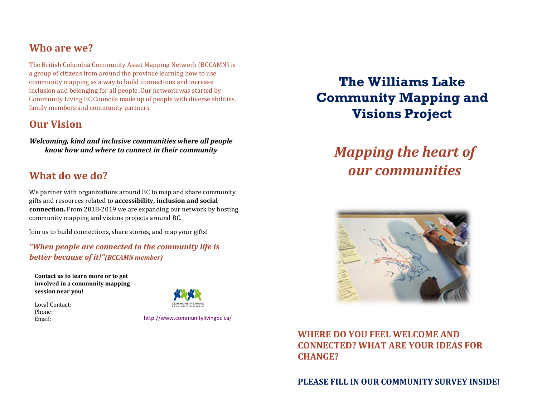## **Who are we?**

The British Columbia Community Asset Mapping Network (BCCAMN) is a group of citizens from around the province learning how to use community mapping as a way to build connections and increase inclusion and belonging for all people. Our network was started by Community Living BC Councils made up of people with diverse abilities, family members and community partners.

## **Our Vision**

*Welcoming, kind and inclusive communities where all people know how and where to connect in their community*

## **What do we do?**

We partner with organizations around BC to map and share community gifts and resources related to **accessibility, inclusion and social connection.** From 2018-2019 we are expanding our network by hosting community mapping and visions projects around BC.

Join us to build connections, share stories, and map your gifts!

*"When people are connected to the community life is better because of it!"(BCCAMN member)*

**Contact us to learn more or to get involved in a community mapping session near you!**

Local Contact: Phone:



Email: http://www.communitylivingbc.ca/

## **The Williams Lake Community Mapping and Visions Project**

# *Mapping the heart of our communities*



**WHERE DO YOU FEEL WELCOME AND CONNECTED? WHAT ARE YOUR IDEAS FOR CHANGE?**

**PLEASE FILL IN OUR COMMUNITY SURVEY INSIDE!**